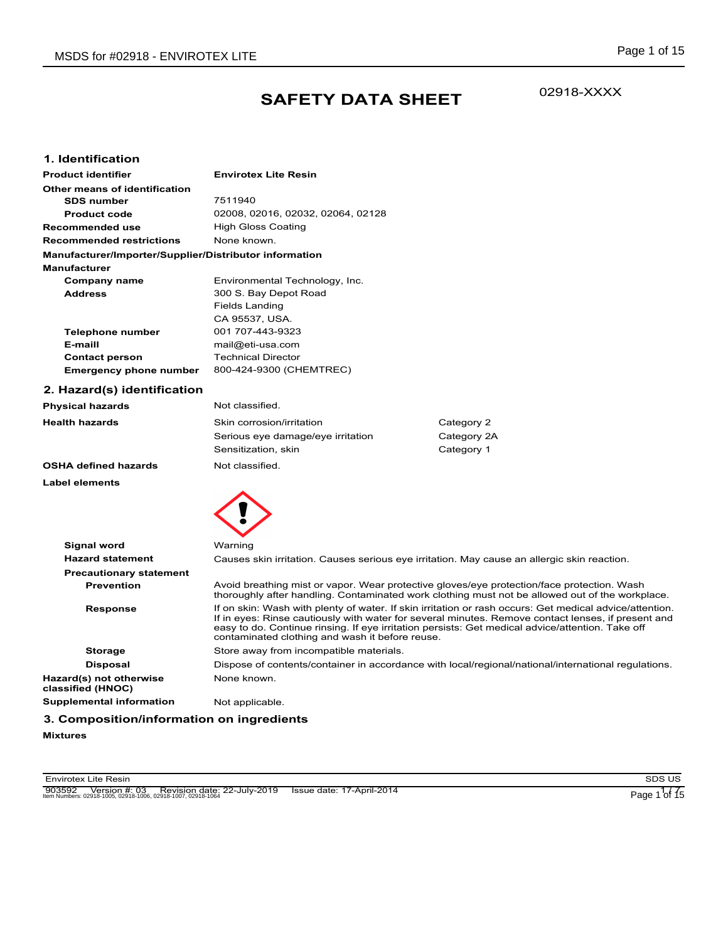## **SAFETY DATA SHEET**

02918-XXXX

### **1. Identification**

| <b>Product identifier</b>                              | <b>Envirotex Lite Resin</b>       |
|--------------------------------------------------------|-----------------------------------|
| Other means of identification                          |                                   |
| <b>SDS number</b>                                      | 7511940                           |
| <b>Product code</b>                                    | 02008, 02016, 02032, 02064, 02128 |
| Recommended use                                        | <b>High Gloss Coating</b>         |
| <b>Recommended restrictions</b>                        | None known.                       |
| Manufacturer/Importer/Supplier/Distributor information |                                   |
| <b>Manufacturer</b>                                    |                                   |
| Company name                                           | Environmental Technology, Inc.    |
| <b>Address</b>                                         | 300 S. Bay Depot Road             |
|                                                        | Fields Landing                    |
|                                                        | CA 95537, USA.                    |
| Telephone number                                       | 001 707-443-9323                  |
| E-maill                                                | mail@eti-usa.com                  |
| <b>Contact person</b>                                  | <b>Technical Director</b>         |
| Emergency phone number                                 | 800-424-9300 (CHEMTREC)           |

## **2. Hazard(s) identification**

| <b>Physical hazards</b>     | Not classified.                   |             |
|-----------------------------|-----------------------------------|-------------|
| <b>Health hazards</b>       | Skin corrosion/irritation         | Category 2  |
|                             | Serious eye damage/eye irritation | Category 2A |
|                             | Sensitization, skin               | Category 1  |
| <b>OSHA defined hazards</b> | Not classified.                   |             |
| <b>Label elements</b>       |                                   |             |



| <b>Signal word</b>                           | Warning                                                                                                                                                                                                                                                                                                                                                              |
|----------------------------------------------|----------------------------------------------------------------------------------------------------------------------------------------------------------------------------------------------------------------------------------------------------------------------------------------------------------------------------------------------------------------------|
| <b>Hazard statement</b>                      | Causes skin irritation. Causes serious eye irritation. May cause an allergic skin reaction.                                                                                                                                                                                                                                                                          |
| <b>Precautionary statement</b>               |                                                                                                                                                                                                                                                                                                                                                                      |
| <b>Prevention</b>                            | Avoid breathing mist or vapor. Wear protective gloves/eye protection/face protection. Wash<br>thoroughly after handling. Contaminated work clothing must not be allowed out of the workplace.                                                                                                                                                                        |
| <b>Response</b>                              | If on skin: Wash with plenty of water. If skin irritation or rash occurs: Get medical advice/attention.<br>If in eyes: Rinse cautiously with water for several minutes. Remove contact lenses, if present and<br>easy to do. Continue rinsing. If eye irritation persists: Get medical advice/attention. Take off<br>contaminated clothing and wash it before reuse. |
| <b>Storage</b>                               | Store away from incompatible materials.                                                                                                                                                                                                                                                                                                                              |
| <b>Disposal</b>                              | Dispose of contents/container in accordance with local/regional/national/international regulations.                                                                                                                                                                                                                                                                  |
| Hazard(s) not otherwise<br>classified (HNOC) | None known.                                                                                                                                                                                                                                                                                                                                                          |
| <b>Supplemental information</b>              | Not applicable.                                                                                                                                                                                                                                                                                                                                                      |
|                                              |                                                                                                                                                                                                                                                                                                                                                                      |

## **3. Composition/information on ingredients**

**Mixtures**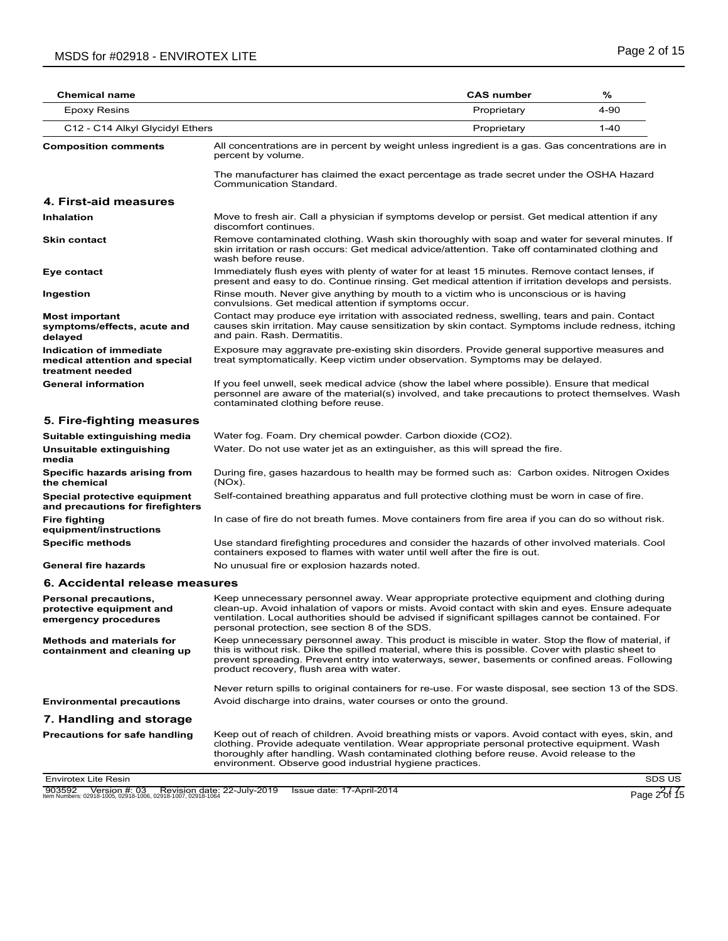| Chemical name                                                                |                                                                                                                                                                                                                                                                                                                                                           | <b>CAS number</b> | %        |
|------------------------------------------------------------------------------|-----------------------------------------------------------------------------------------------------------------------------------------------------------------------------------------------------------------------------------------------------------------------------------------------------------------------------------------------------------|-------------------|----------|
| <b>Epoxy Resins</b>                                                          |                                                                                                                                                                                                                                                                                                                                                           | Proprietary       | 4-90     |
| C12 - C14 Alkyl Glycidyl Ethers                                              |                                                                                                                                                                                                                                                                                                                                                           | Proprietary       | $1 - 40$ |
| <b>Composition comments</b>                                                  | All concentrations are in percent by weight unless ingredient is a gas. Gas concentrations are in<br>percent by volume.                                                                                                                                                                                                                                   |                   |          |
|                                                                              | The manufacturer has claimed the exact percentage as trade secret under the OSHA Hazard<br>Communication Standard.                                                                                                                                                                                                                                        |                   |          |
| 4. First-aid measures                                                        |                                                                                                                                                                                                                                                                                                                                                           |                   |          |
| <b>Inhalation</b>                                                            | Move to fresh air. Call a physician if symptoms develop or persist. Get medical attention if any<br>discomfort continues.                                                                                                                                                                                                                                 |                   |          |
| <b>Skin contact</b>                                                          | Remove contaminated clothing. Wash skin thoroughly with soap and water for several minutes. If<br>skin irritation or rash occurs: Get medical advice/attention. Take off contaminated clothing and<br>wash before reuse.                                                                                                                                  |                   |          |
| Eye contact                                                                  | Immediately flush eyes with plenty of water for at least 15 minutes. Remove contact lenses, if<br>present and easy to do. Continue rinsing. Get medical attention if irritation develops and persists.                                                                                                                                                    |                   |          |
| Ingestion                                                                    | Rinse mouth. Never give anything by mouth to a victim who is unconscious or is having<br>convulsions. Get medical attention if symptoms occur.                                                                                                                                                                                                            |                   |          |
| <b>Most important</b><br>symptoms/effects, acute and<br>delayed              | Contact may produce eye irritation with associated redness, swelling, tears and pain. Contact<br>causes skin irritation. May cause sensitization by skin contact. Symptoms include redness, itching<br>and pain. Rash. Dermatitis.                                                                                                                        |                   |          |
| Indication of immediate<br>medical attention and special<br>treatment needed | Exposure may aggravate pre-existing skin disorders. Provide general supportive measures and<br>treat symptomatically. Keep victim under observation. Symptoms may be delayed.                                                                                                                                                                             |                   |          |
| <b>General information</b>                                                   | If you feel unwell, seek medical advice (show the label where possible). Ensure that medical<br>personnel are aware of the material(s) involved, and take precautions to protect themselves. Wash<br>contaminated clothing before reuse.                                                                                                                  |                   |          |
| 5. Fire-fighting measures                                                    |                                                                                                                                                                                                                                                                                                                                                           |                   |          |
| Suitable extinguishing media                                                 | Water fog. Foam. Dry chemical powder. Carbon dioxide (CO2).                                                                                                                                                                                                                                                                                               |                   |          |
| Unsuitable extinguishing<br>media                                            | Water. Do not use water jet as an extinguisher, as this will spread the fire.                                                                                                                                                                                                                                                                             |                   |          |
| Specific hazards arising from<br>the chemical                                | During fire, gases hazardous to health may be formed such as: Carbon oxides. Nitrogen Oxides<br>$(NOx)$ .                                                                                                                                                                                                                                                 |                   |          |
| Special protective equipment<br>and precautions for firefighters             | Self-contained breathing apparatus and full protective clothing must be worn in case of fire.                                                                                                                                                                                                                                                             |                   |          |
| <b>Fire fighting</b><br>equipment/instructions                               | In case of fire do not breath fumes. Move containers from fire area if you can do so without risk.                                                                                                                                                                                                                                                        |                   |          |
| <b>Specific methods</b>                                                      | Use standard firefighting procedures and consider the hazards of other involved materials. Cool<br>containers exposed to flames with water until well after the fire is out.                                                                                                                                                                              |                   |          |
| <b>General fire hazards</b>                                                  | No unusual fire or explosion hazards noted.                                                                                                                                                                                                                                                                                                               |                   |          |
| 6. Accidental release measures                                               |                                                                                                                                                                                                                                                                                                                                                           |                   |          |
| Personal precautions,<br>protective equipment and<br>emergency procedures    | Keep unnecessary personnel away. Wear appropriate protective equipment and clothing during<br>clean-up. Avoid inhalation of vapors or mists. Avoid contact with skin and eyes. Ensure adequate<br>ventilation. Local authorities should be advised if significant spillages cannot be contained. For<br>personal protection, see section 8 of the SDS.    |                   |          |
| <b>Methods and materials for</b><br>containment and cleaning up              | Keep unnecessary personnel away. This product is miscible in water. Stop the flow of material, if<br>this is without risk. Dike the spilled material, where this is possible. Cover with plastic sheet to<br>prevent spreading. Prevent entry into waterways, sewer, basements or confined areas. Following<br>product recovery, flush area with water.   |                   |          |
|                                                                              | Never return spills to original containers for re-use. For waste disposal, see section 13 of the SDS.                                                                                                                                                                                                                                                     |                   |          |
| <b>Environmental precautions</b>                                             | Avoid discharge into drains, water courses or onto the ground.                                                                                                                                                                                                                                                                                            |                   |          |
| 7. Handling and storage                                                      |                                                                                                                                                                                                                                                                                                                                                           |                   |          |
| <b>Precautions for safe handling</b>                                         | Keep out of reach of children. Avoid breathing mists or vapors. Avoid contact with eyes, skin, and<br>clothing. Provide adequate ventilation. Wear appropriate personal protective equipment. Wash<br>thoroughly after handling. Wash contaminated clothing before reuse. Avoid release to the<br>environment. Observe good industrial hygiene practices. |                   |          |

Envirotex Lite Resin SDS US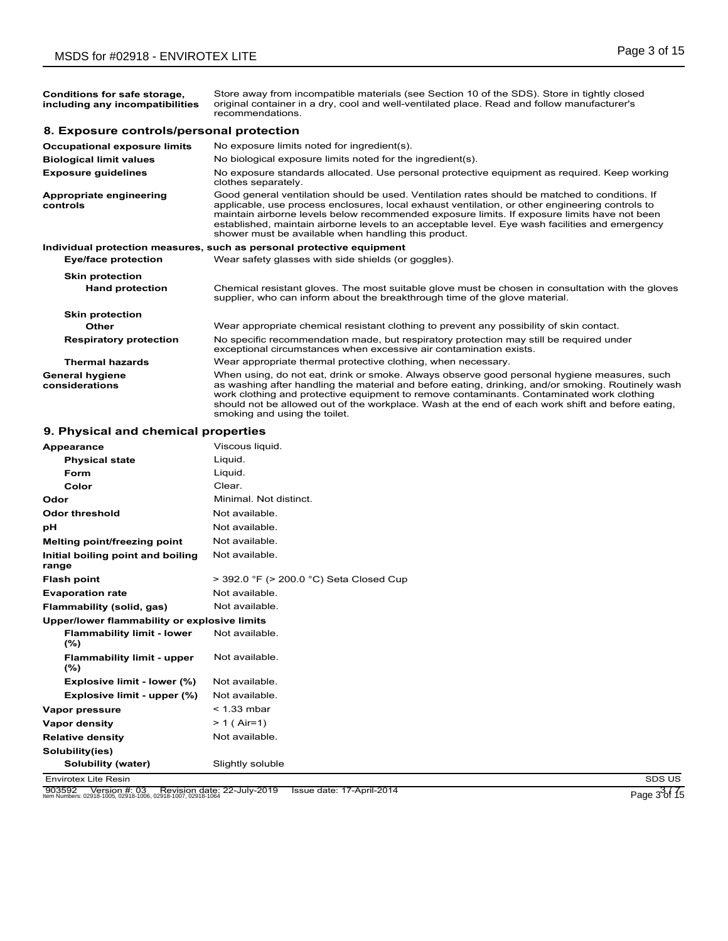| Conditions for safe storage,<br>including any incompatibilities | Store away from incompatible materials (see Section 10 of the SDS). Store in tightly closed<br>original container in a dry, cool and well-ventilated place. Read and follow manufacturer's<br>recommendations.                                                                                                                                                                                                                                               |
|-----------------------------------------------------------------|--------------------------------------------------------------------------------------------------------------------------------------------------------------------------------------------------------------------------------------------------------------------------------------------------------------------------------------------------------------------------------------------------------------------------------------------------------------|
| 8. Exposure controls/personal protection                        |                                                                                                                                                                                                                                                                                                                                                                                                                                                              |
| <b>Occupational exposure limits</b>                             | No exposure limits noted for ingredient(s).                                                                                                                                                                                                                                                                                                                                                                                                                  |
| <b>Biological limit values</b>                                  | No biological exposure limits noted for the ingredient(s).                                                                                                                                                                                                                                                                                                                                                                                                   |
| <b>Exposure guidelines</b>                                      | No exposure standards allocated. Use personal protective equipment as required. Keep working<br>clothes separately.                                                                                                                                                                                                                                                                                                                                          |
| Appropriate engineering<br>controls                             | Good general ventilation should be used. Ventilation rates should be matched to conditions. If<br>applicable, use process enclosures, local exhaust ventilation, or other engineering controls to<br>maintain airborne levels below recommended exposure limits. If exposure limits have not been<br>established, maintain airborne levels to an acceptable level. Eye wash facilities and emergency<br>shower must be available when handling this product. |
|                                                                 | Individual protection measures, such as personal protective equipment                                                                                                                                                                                                                                                                                                                                                                                        |
| <b>Eye/face protection</b>                                      | Wear safety glasses with side shields (or goggles).                                                                                                                                                                                                                                                                                                                                                                                                          |
| <b>Skin protection</b><br><b>Hand protection</b>                | Chemical resistant gloves. The most suitable glove must be chosen in consultation with the gloves<br>supplier, who can inform about the breakthrough time of the glove material.                                                                                                                                                                                                                                                                             |
| <b>Skin protection</b>                                          |                                                                                                                                                                                                                                                                                                                                                                                                                                                              |
| Other                                                           | Wear appropriate chemical resistant clothing to prevent any possibility of skin contact.                                                                                                                                                                                                                                                                                                                                                                     |
| <b>Respiratory protection</b>                                   | No specific recommendation made, but respiratory protection may still be required under<br>exceptional circumstances when excessive air contamination exists.                                                                                                                                                                                                                                                                                                |
| <b>Thermal hazards</b>                                          | Wear appropriate thermal protective clothing, when necessary.                                                                                                                                                                                                                                                                                                                                                                                                |
| <b>General hygiene</b><br>considerations                        | When using, do not eat, drink or smoke. Always observe good personal hygiene measures, such<br>as washing after handling the material and before eating, drinking, and/or smoking. Routinely wash                                                                                                                                                                                                                                                            |

smoking and using the toilet.

work clothing and protective equipment to remove contaminants. Contaminated work clothing should not be allowed out of the workplace. Wash at the end of each work shift and before eating,

## **9. Physical and chemical properties**

| Appearance                                                                                                             | Viscous liquid.                         |                      |
|------------------------------------------------------------------------------------------------------------------------|-----------------------------------------|----------------------|
| <b>Physical state</b>                                                                                                  | Liquid.                                 |                      |
| Form                                                                                                                   | Liquid.                                 |                      |
| Color                                                                                                                  | Clear.                                  |                      |
| Odor                                                                                                                   | Minimal. Not distinct.                  |                      |
| <b>Odor threshold</b>                                                                                                  | Not available.                          |                      |
| pH                                                                                                                     | Not available.                          |                      |
| Melting point/freezing point                                                                                           | Not available.                          |                      |
| Initial boiling point and boiling<br>range                                                                             | Not available.                          |                      |
| <b>Flash point</b>                                                                                                     | > 392.0 °F (> 200.0 °C) Seta Closed Cup |                      |
| <b>Evaporation rate</b>                                                                                                | Not available.                          |                      |
| Flammability (solid, gas)                                                                                              | Not available.                          |                      |
| Upper/lower flammability or explosive limits                                                                           |                                         |                      |
| <b>Flammability limit - lower</b><br>(%)                                                                               | Not available.                          |                      |
| <b>Flammability limit - upper</b><br>(%)                                                                               | Not available.                          |                      |
| Explosive limit - lower (%)                                                                                            | Not available.                          |                      |
| Explosive limit - upper (%)                                                                                            | Not available.                          |                      |
| Vapor pressure                                                                                                         | $<$ 1.33 mbar                           |                      |
| Vapor density                                                                                                          | $> 1$ (Air=1)                           |                      |
| <b>Relative density</b>                                                                                                | Not available.                          |                      |
| Solubility(ies)                                                                                                        |                                         |                      |
| Solubility (water)                                                                                                     | Slightly soluble                        |                      |
| <b>Envirotex Lite Resin</b>                                                                                            |                                         | SDS US               |
| 903592    Version #: 03    Revision date: 22-July-2019<br>Item Numbers: 02918-1005, 02918-1006, 02918-1007, 02918-1064 | Issue date: 17-April-2014               | Page $3\sqrt[3]{15}$ |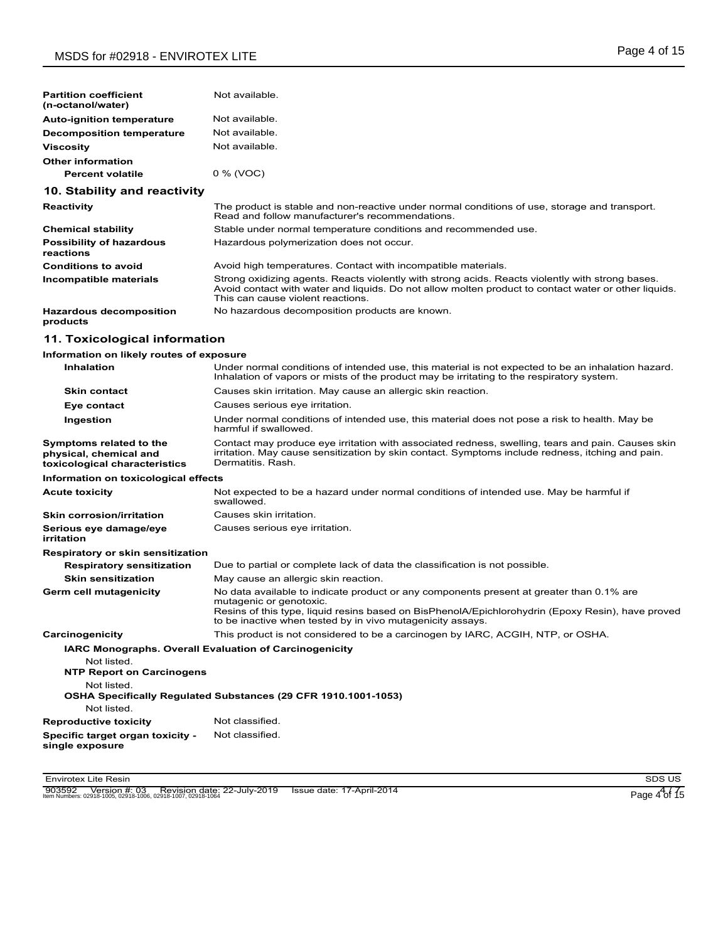| <b>Partition coefficient</b><br>(n-octanol/water)                                  | Not available.                                                                                                                                                                                                                                                                         |
|------------------------------------------------------------------------------------|----------------------------------------------------------------------------------------------------------------------------------------------------------------------------------------------------------------------------------------------------------------------------------------|
| Auto-ignition temperature                                                          | Not available.                                                                                                                                                                                                                                                                         |
| <b>Decomposition temperature</b>                                                   | Not available.                                                                                                                                                                                                                                                                         |
| Viscosity                                                                          | Not available.                                                                                                                                                                                                                                                                         |
| <b>Other information</b>                                                           |                                                                                                                                                                                                                                                                                        |
| <b>Percent volatile</b>                                                            | 0 % (VOC)                                                                                                                                                                                                                                                                              |
| 10. Stability and reactivity                                                       |                                                                                                                                                                                                                                                                                        |
| Reactivity                                                                         | The product is stable and non-reactive under normal conditions of use, storage and transport.<br>Read and follow manufacturer's recommendations.                                                                                                                                       |
| <b>Chemical stability</b>                                                          | Stable under normal temperature conditions and recommended use.                                                                                                                                                                                                                        |
| <b>Possibility of hazardous</b><br>reactions                                       | Hazardous polymerization does not occur.                                                                                                                                                                                                                                               |
| <b>Conditions to avoid</b>                                                         | Avoid high temperatures. Contact with incompatible materials.                                                                                                                                                                                                                          |
| Incompatible materials                                                             | Strong oxidizing agents. Reacts violently with strong acids. Reacts violently with strong bases.<br>Avoid contact with water and liquids. Do not allow molten product to contact water or other liquids.<br>This can cause violent reactions.                                          |
| <b>Hazardous decomposition</b><br>products                                         | No hazardous decomposition products are known.                                                                                                                                                                                                                                         |
| 11. Toxicological information                                                      |                                                                                                                                                                                                                                                                                        |
| Information on likely routes of exposure                                           |                                                                                                                                                                                                                                                                                        |
| Inhalation                                                                         | Under normal conditions of intended use, this material is not expected to be an inhalation hazard.<br>Inhalation of vapors or mists of the product may be irritating to the respiratory system.                                                                                        |
| <b>Skin contact</b>                                                                | Causes skin irritation. May cause an allergic skin reaction.                                                                                                                                                                                                                           |
| Eye contact                                                                        | Causes serious eye irritation.                                                                                                                                                                                                                                                         |
| Ingestion                                                                          | Under normal conditions of intended use, this material does not pose a risk to health. May be<br>harmful if swallowed.                                                                                                                                                                 |
| Symptoms related to the<br>physical, chemical and<br>toxicological characteristics | Contact may produce eye irritation with associated redness, swelling, tears and pain. Causes skin<br>irritation. May cause sensitization by skin contact. Symptoms include redness, itching and pain.<br>Dermatitis, Rash.                                                             |
| Information on toxicological effects                                               |                                                                                                                                                                                                                                                                                        |
| <b>Acute toxicity</b>                                                              | Not expected to be a hazard under normal conditions of intended use. May be harmful if<br>swallowed.                                                                                                                                                                                   |
| <b>Skin corrosion/irritation</b>                                                   | Causes skin irritation.                                                                                                                                                                                                                                                                |
| Serious eye damage/eye<br>irritation                                               | Causes serious eye irritation.                                                                                                                                                                                                                                                         |
| Respiratory or skin sensitization                                                  |                                                                                                                                                                                                                                                                                        |
| <b>Respiratory sensitization</b>                                                   | Due to partial or complete lack of data the classification is not possible.                                                                                                                                                                                                            |
| <b>Skin sensitization</b>                                                          | May cause an allergic skin reaction.                                                                                                                                                                                                                                                   |
| Germ cell mutagenicity                                                             | No data available to indicate product or any components present at greater than 0.1% are<br>mutagenic or genotoxic.<br>Resins of this type, liquid resins based on BisPhenolA/Epichlorohydrin (Epoxy Resin), have proved<br>to be inactive when tested by in vivo mutagenicity assays. |
| Carcinogenicity                                                                    | This product is not considered to be a carcinogen by IARC, ACGIH, NTP, or OSHA.                                                                                                                                                                                                        |
| Not listed.<br><b>NTP Report on Carcinogens</b><br>Not listed.                     | <b>IARC Monographs. Overall Evaluation of Carcinogenicity</b><br>OSHA Specifically Regulated Substances (29 CFR 1910.1001-1053)                                                                                                                                                        |
| Not listed.                                                                        |                                                                                                                                                                                                                                                                                        |
| <b>Reproductive toxicity</b>                                                       | Not classified.                                                                                                                                                                                                                                                                        |
| Specific target organ toxicity -<br>single exposure                                | Not classified.                                                                                                                                                                                                                                                                        |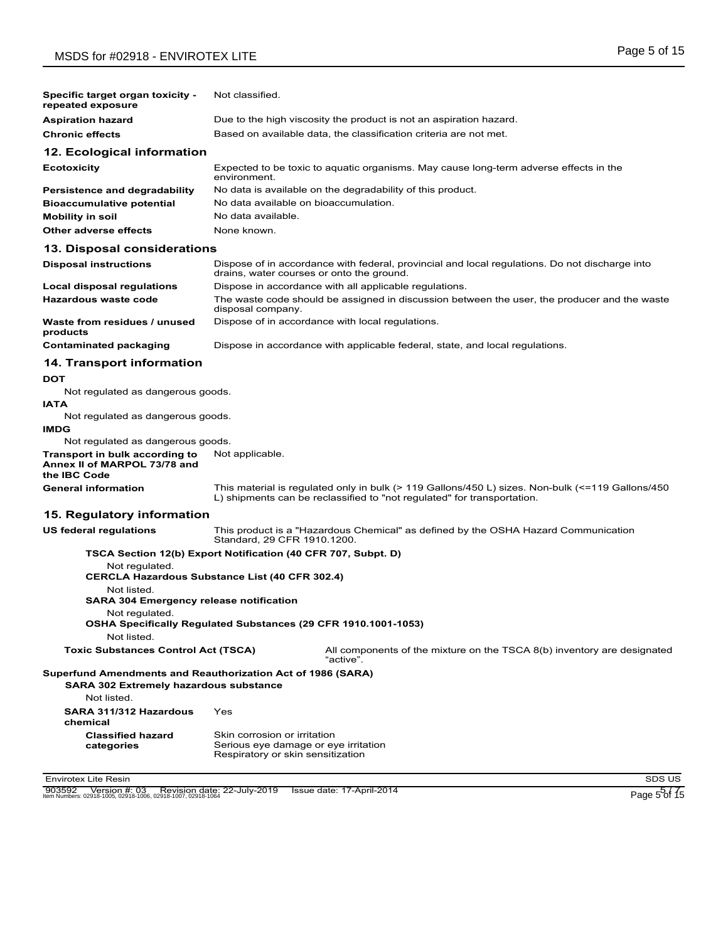| Specific target organ toxicity -<br>repeated exposure                                 | Not classified.                                                                                                                                                             |
|---------------------------------------------------------------------------------------|-----------------------------------------------------------------------------------------------------------------------------------------------------------------------------|
| <b>Aspiration hazard</b>                                                              | Due to the high viscosity the product is not an aspiration hazard.                                                                                                          |
| <b>Chronic effects</b>                                                                | Based on available data, the classification criteria are not met.                                                                                                           |
| 12. Ecological information                                                            |                                                                                                                                                                             |
| <b>Ecotoxicity</b>                                                                    | Expected to be toxic to aquatic organisms. May cause long-term adverse effects in the<br>environment.                                                                       |
| <b>Persistence and degradability</b>                                                  | No data is available on the degradability of this product.                                                                                                                  |
| <b>Bioaccumulative potential</b>                                                      | No data available on bioaccumulation.                                                                                                                                       |
| <b>Mobility in soil</b>                                                               | No data available.                                                                                                                                                          |
| Other adverse effects                                                                 | None known.                                                                                                                                                                 |
| 13. Disposal considerations                                                           |                                                                                                                                                                             |
| <b>Disposal instructions</b>                                                          | Dispose of in accordance with federal, provincial and local regulations. Do not discharge into<br>drains, water courses or onto the ground.                                 |
| Local disposal regulations                                                            | Dispose in accordance with all applicable regulations.                                                                                                                      |
| Hazardous waste code                                                                  | The waste code should be assigned in discussion between the user, the producer and the waste<br>disposal company.                                                           |
| Waste from residues / unused<br>products                                              | Dispose of in accordance with local regulations.                                                                                                                            |
| <b>Contaminated packaging</b>                                                         | Dispose in accordance with applicable federal, state, and local regulations.                                                                                                |
| <b>14. Transport information</b>                                                      |                                                                                                                                                                             |
| <b>DOT</b>                                                                            |                                                                                                                                                                             |
| Not regulated as dangerous goods.                                                     |                                                                                                                                                                             |
| <b>IATA</b>                                                                           |                                                                                                                                                                             |
| Not regulated as dangerous goods.                                                     |                                                                                                                                                                             |
| <b>IMDG</b>                                                                           |                                                                                                                                                                             |
| Not regulated as dangerous goods.                                                     |                                                                                                                                                                             |
| Transport in bulk according to<br>Annex II of MARPOL 73/78 and<br>the <b>IBC</b> Code | Not applicable.                                                                                                                                                             |
| <b>General information</b>                                                            | This material is regulated only in bulk (> 119 Gallons/450 L) sizes. Non-bulk (<=119 Gallons/450<br>L) shipments can be reclassified to "not regulated" for transportation. |
| 15. Regulatory information                                                            |                                                                                                                                                                             |
| <b>US federal regulations</b>                                                         | This product is a "Hazardous Chemical" as defined by the OSHA Hazard Communication<br>Standard, 29 CFR 1910.1200.                                                           |
|                                                                                       | TSCA Section 12(b) Export Notification (40 CFR 707, Subpt. D)                                                                                                               |
| Not regulated.                                                                        | <b>CERCLA Hazardous Substance List (40 CFR 302.4)</b>                                                                                                                       |
| Not listed.<br><b>SARA 304 Emergency release notification</b>                         |                                                                                                                                                                             |
| Not regulated.<br>Not listed.                                                         | OSHA Specifically Regulated Substances (29 CFR 1910.1001-1053)                                                                                                              |
| <b>Toxic Substances Control Act (TSCA)</b>                                            | All components of the mixture on the TSCA 8(b) inventory are designated<br>"active".                                                                                        |
| <b>SARA 302 Extremely hazardous substance</b>                                         | Superfund Amendments and Reauthorization Act of 1986 (SARA)                                                                                                                 |
| Not listed.                                                                           |                                                                                                                                                                             |
| SARA 311/312 Hazardous<br>chemical                                                    | Yes                                                                                                                                                                         |
| <b>Classified hazard</b><br>categories                                                | Skin corrosion or irritation<br>Serious eye damage or eye irritation                                                                                                        |

Envirotex Lite Resin SDS US

903592 Version #: 03 Revision date: 22-July-2019 Issue date: 17-April-2014<br>Item Numbers: 02918-1005, 02918-1006, 02918-1007, 02918-1064

Respiratory or skin sensitization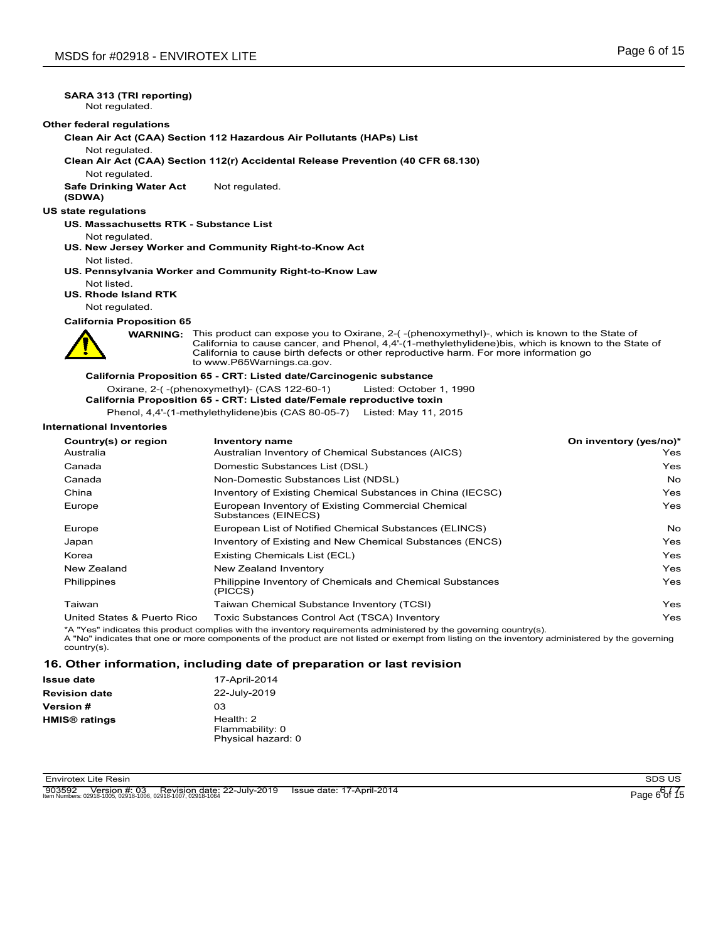## **SARA 313 (TRI reporting)**

Not regulated.

#### **Other federal regulations**

**Clean Air Act (CAA) Section 112 Hazardous Air Pollutants (HAPs) List**

Not regulated.

**Clean Air Act (CAA) Section 112(r) Accidental Release Prevention (40 CFR 68.130)**

Not regulated.

**Safe Drinking Water Act** Not regulated.

**(SDWA)**

**US state regulations**

**US. Massachusetts RTK - Substance List**

Not regulated.

- **US. New Jersey Worker and Community Right-to-Know Act** Not listed.
- **US. Pennsylvania Worker and Community Right-to-Know Law**
- Not listed.

**US. Rhode Island RTK**

Not regulated.

#### **California Proposition 65**

This product can expose you to Oxirane, 2-( -(phenoxymethyl)-, which is known to the State of WARNING: This product can expose you to Oxirane, 2-(-(phenoxymethyl)-, which is known to the State of<br>California to cause cancer, and Phenol, 4,4'-(1-methylethylidene)bis, which is known to the State of California to cause birth defects or other reproductive harm. For more information go to www.P65Warnings.ca.gov.

**California Proposition 65 - CRT: Listed date/Carcinogenic substance** Oxirane, 2-( -(phenoxymethyl)- (CAS 122-60-1) Listed: October 1, 1990 **California Proposition 65 - CRT: Listed date/Female reproductive toxin**

Phenol, 4,4'-(1-methylethylidene)bis (CAS 80-05-7) Listed: May 11, 2015

#### **International Inventories**

| Country(s) or region        | <b>Inventory name</b>                                                     | On inventory (yes/no)* |
|-----------------------------|---------------------------------------------------------------------------|------------------------|
| Australia                   | Australian Inventory of Chemical Substances (AICS)                        | Yes                    |
| Canada                      | Domestic Substances List (DSL)                                            | Yes                    |
| Canada                      | Non-Domestic Substances List (NDSL)                                       | No                     |
| China                       | Inventory of Existing Chemical Substances in China (IECSC)                | Yes                    |
| Europe                      | European Inventory of Existing Commercial Chemical<br>Substances (EINECS) | Yes                    |
| Europe                      | European List of Notified Chemical Substances (ELINCS)                    | No                     |
| Japan                       | Inventory of Existing and New Chemical Substances (ENCS)                  | Yes                    |
| Korea                       | Existing Chemicals List (ECL)                                             | Yes                    |
| New Zealand                 | New Zealand Inventory                                                     | Yes                    |
| Philippines                 | Philippine Inventory of Chemicals and Chemical Substances<br>(PICCS)      | Yes                    |
| Taiwan                      | Taiwan Chemical Substance Inventory (TCSI)                                | Yes                    |
| United States & Puerto Rico | Toxic Substances Control Act (TSCA) Inventory                             | Yes                    |

\*A "Yes" indicates this product complies with the inventory requirements administered by the governing country(s).

A "No" indicates that one or more components of the product are not listed or exempt from listing on the inventory administered by the governing country(s).

#### **16. Other information, including date of preparation or last revision**

| Issue date                      | 17-April-2014                                        |  |
|---------------------------------|------------------------------------------------------|--|
| <b>Revision date</b>            | 22-July-2019                                         |  |
| Version #                       | O <sub>3</sub>                                       |  |
| <b>HMIS<sup>®</sup> ratings</b> | Health: $2$<br>Flammability: 0<br>Physical hazard: 0 |  |

Envirotex Lite Resin SDS US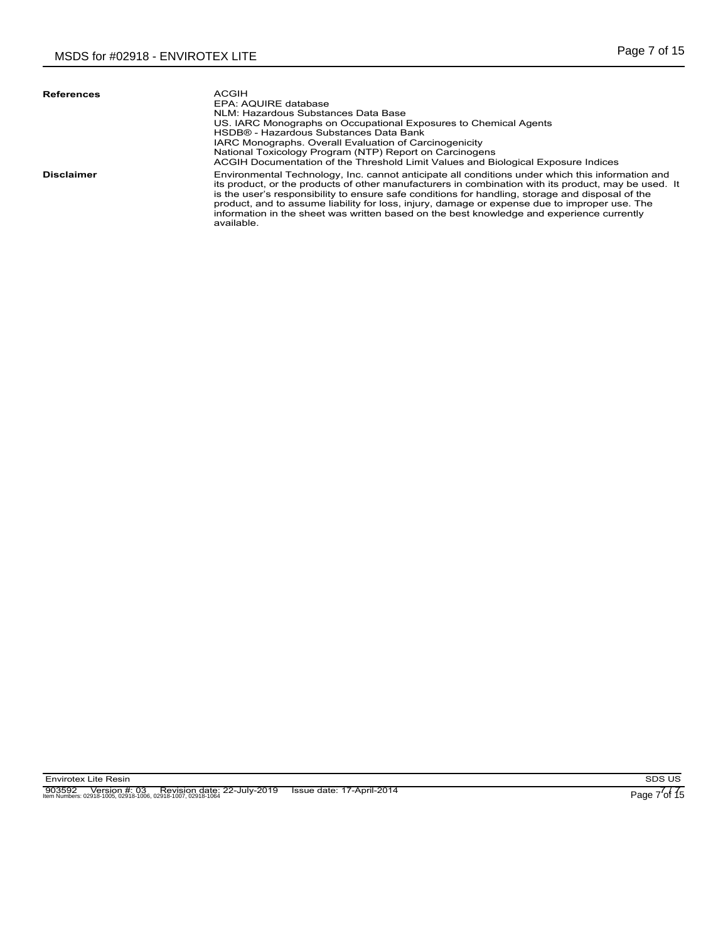| <b>References</b> | ACGIH<br>EPA: AQUIRE database<br>NLM: Hazardous Substances Data Base<br>US. IARC Monographs on Occupational Exposures to Chemical Agents<br>HSDB® - Hazardous Substances Data Bank<br>IARC Monographs. Overall Evaluation of Carcinogenicity<br>National Toxicology Program (NTP) Report on Carcinogens<br>ACGIH Documentation of the Threshold Limit Values and Biological Exposure Indices                                                                                                                             |
|-------------------|--------------------------------------------------------------------------------------------------------------------------------------------------------------------------------------------------------------------------------------------------------------------------------------------------------------------------------------------------------------------------------------------------------------------------------------------------------------------------------------------------------------------------|
| <b>Disclaimer</b> | Environmental Technology, Inc. cannot anticipate all conditions under which this information and<br>its product, or the products of other manufacturers in combination with its product, may be used. It<br>is the user's responsibility to ensure safe conditions for handling, storage and disposal of the<br>product, and to assume liability for loss, injury, damage or expense due to improper use. The<br>information in the sheet was written based on the best knowledge and experience currently<br>available. |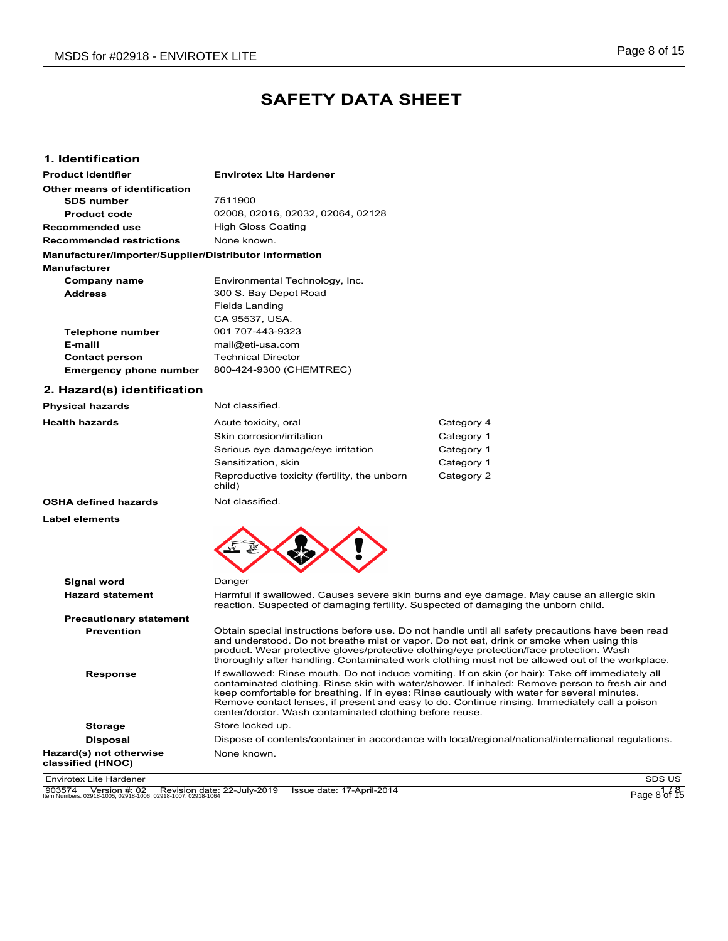# **SAFETY DATA SHEET**

### **1. Identification**

| <b>Product identifier</b>                              | <b>Envirotex Lite Hardener</b>    |
|--------------------------------------------------------|-----------------------------------|
| Other means of identification                          |                                   |
| <b>SDS number</b>                                      | 7511900                           |
| <b>Product code</b>                                    | 02008, 02016, 02032, 02064, 02128 |
| Recommended use                                        | High Gloss Coating                |
| <b>Recommended restrictions</b>                        | None known                        |
| Manufacturer/Importer/Supplier/Distributor information |                                   |
| <b>Manufacturer</b>                                    |                                   |
| Company name                                           | Environmental Technology, Inc.    |
| <b>Address</b>                                         | 300 S. Bay Depot Road             |
|                                                        | <b>Fields Landing</b>             |
|                                                        | CA 95537, USA.                    |
| Telephone number                                       | 001 707-443-9323                  |
| E-maill                                                | mail@eti-usa.com                  |
| <b>Contact person</b>                                  | <b>Technical Director</b>         |
| <b>Emergency phone number</b>                          | 800-424-9300 (CHEMTREC)           |

## **2. Hazard(s) identification**

| <b>Physical hazards</b>     | Not classified.                                        |            |
|-----------------------------|--------------------------------------------------------|------------|
| <b>Health hazards</b>       | Acute toxicity, oral                                   | Category 4 |
|                             | Skin corrosion/irritation                              | Category 1 |
|                             | Serious eye damage/eye irritation                      | Category 1 |
|                             | Sensitization, skin                                    | Category 1 |
|                             | Reproductive toxicity (fertility, the unborn<br>child) | Category 2 |
| <b>OSHA defined hazards</b> | Not classified.                                        |            |

**Label elements**



| .                                            |                                                                                                                                                                                                                                                                                                                                                                                                                                                                  |
|----------------------------------------------|------------------------------------------------------------------------------------------------------------------------------------------------------------------------------------------------------------------------------------------------------------------------------------------------------------------------------------------------------------------------------------------------------------------------------------------------------------------|
| <b>Hazard statement</b>                      | Harmful if swallowed. Causes severe skin burns and eye damage. May cause an allergic skin<br>reaction. Suspected of damaging fertility. Suspected of damaging the unborn child.                                                                                                                                                                                                                                                                                  |
| <b>Precautionary statement</b>               |                                                                                                                                                                                                                                                                                                                                                                                                                                                                  |
| <b>Prevention</b>                            | Obtain special instructions before use. Do not handle until all safety precautions have been read<br>and understood. Do not breathe mist or vapor. Do not eat, drink or smoke when using this<br>product. Wear protective gloves/protective clothing/eye protection/face protection. Wash<br>thoroughly after handling. Contaminated work clothing must not be allowed out of the workplace.                                                                     |
| <b>Response</b>                              | If swallowed: Rinse mouth. Do not induce vomiting. If on skin (or hair): Take off immediately all<br>contaminated clothing. Rinse skin with water/shower. If inhaled: Remove person to fresh air and<br>keep comfortable for breathing. If in eyes: Rinse cautiously with water for several minutes.<br>Remove contact lenses, if present and easy to do. Continue rinsing. Immediately call a poison<br>center/doctor. Wash contaminated clothing before reuse. |
| <b>Storage</b>                               | Store locked up.                                                                                                                                                                                                                                                                                                                                                                                                                                                 |
| <b>Disposal</b>                              | Dispose of contents/container in accordance with local/regional/national/international regulations.                                                                                                                                                                                                                                                                                                                                                              |
| Hazard(s) not otherwise<br>classified (HNOC) | None known.                                                                                                                                                                                                                                                                                                                                                                                                                                                      |
| Envirotex Lite Hardener                      | SDS US                                                                                                                                                                                                                                                                                                                                                                                                                                                           |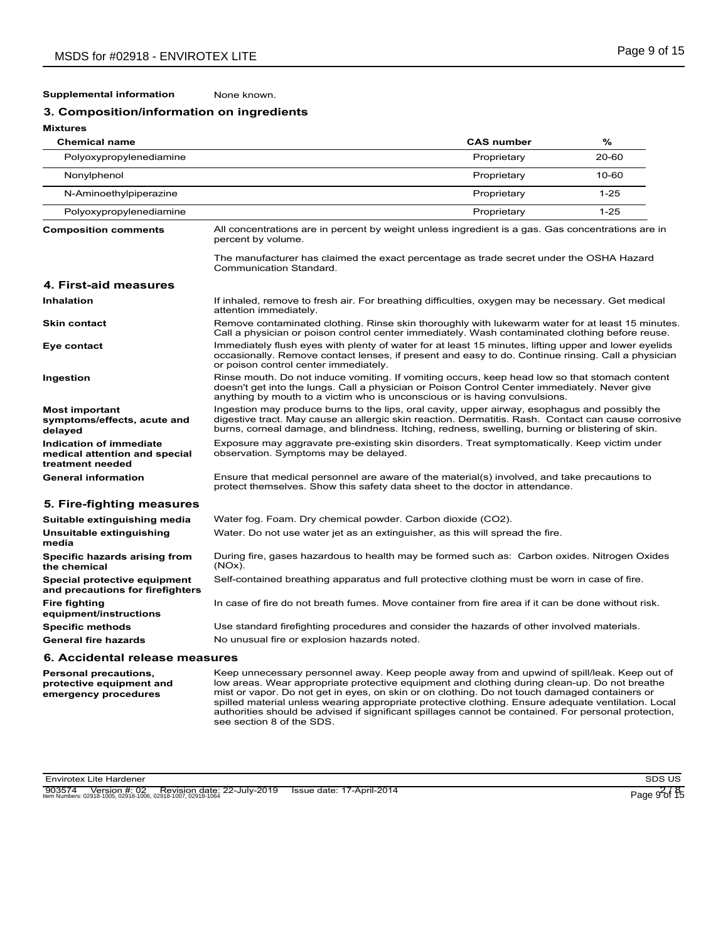#### **Supplemental information** None known.

## **3. Composition/information on ingredients**

| <b>Mixtures</b>                                                              |                                                                                                                                                                                                                                                                                                           |                   |          |
|------------------------------------------------------------------------------|-----------------------------------------------------------------------------------------------------------------------------------------------------------------------------------------------------------------------------------------------------------------------------------------------------------|-------------------|----------|
| <b>Chemical name</b>                                                         |                                                                                                                                                                                                                                                                                                           | <b>CAS number</b> | %        |
| Polyoxypropylenediamine                                                      |                                                                                                                                                                                                                                                                                                           | Proprietary       | 20-60    |
| Nonylphenol                                                                  |                                                                                                                                                                                                                                                                                                           | Proprietary       | 10-60    |
| N-Aminoethylpiperazine                                                       |                                                                                                                                                                                                                                                                                                           | Proprietary       | $1 - 25$ |
| Polyoxypropylenediamine                                                      |                                                                                                                                                                                                                                                                                                           | Proprietary       | $1 - 25$ |
| <b>Composition comments</b>                                                  | All concentrations are in percent by weight unless ingredient is a gas. Gas concentrations are in<br>percent by volume.                                                                                                                                                                                   |                   |          |
|                                                                              | The manufacturer has claimed the exact percentage as trade secret under the OSHA Hazard<br>Communication Standard.                                                                                                                                                                                        |                   |          |
| 4. First-aid measures                                                        |                                                                                                                                                                                                                                                                                                           |                   |          |
| <b>Inhalation</b>                                                            | If inhaled, remove to fresh air. For breathing difficulties, oxygen may be necessary. Get medical<br>attention immediately.                                                                                                                                                                               |                   |          |
| <b>Skin contact</b>                                                          | Remove contaminated clothing. Rinse skin thoroughly with lukewarm water for at least 15 minutes.<br>Call a physician or poison control center immediately. Wash contaminated clothing before reuse.                                                                                                       |                   |          |
| Eye contact                                                                  | Immediately flush eyes with plenty of water for at least 15 minutes, lifting upper and lower eyelids<br>occasionally. Remove contact lenses, if present and easy to do. Continue rinsing. Call a physician<br>or poison control center immediately.                                                       |                   |          |
| Ingestion                                                                    | Rinse mouth. Do not induce vomiting. If vomiting occurs, keep head low so that stomach content<br>doesn't get into the lungs. Call a physician or Poison Control Center immediately. Never give<br>anything by mouth to a victim who is unconscious or is having convulsions.                             |                   |          |
| <b>Most important</b><br>symptoms/effects, acute and<br>delayed              | Ingestion may produce burns to the lips, oral cavity, upper airway, esophagus and possibly the<br>digestive tract. May cause an allergic skin reaction. Dermatitis. Rash. Contact can cause corrosive<br>burns, corneal damage, and blindness. Itching, redness, swelling, burning or blistering of skin. |                   |          |
| Indication of immediate<br>medical attention and special<br>treatment needed | Exposure may aggravate pre-existing skin disorders. Treat symptomatically. Keep victim under<br>observation. Symptoms may be delayed.                                                                                                                                                                     |                   |          |
| <b>General information</b>                                                   | Ensure that medical personnel are aware of the material(s) involved, and take precautions to<br>protect themselves. Show this safety data sheet to the doctor in attendance.                                                                                                                              |                   |          |
| 5. Fire-fighting measures                                                    |                                                                                                                                                                                                                                                                                                           |                   |          |
| Suitable extinguishing media                                                 | Water fog. Foam. Dry chemical powder. Carbon dioxide (CO2).                                                                                                                                                                                                                                               |                   |          |
| Unsuitable extinguishing<br>media                                            | Water. Do not use water jet as an extinguisher, as this will spread the fire.                                                                                                                                                                                                                             |                   |          |
| Specific hazards arising from<br>the chemical                                | During fire, gases hazardous to health may be formed such as: Carbon oxides. Nitrogen Oxides<br>$(NOx)$ .                                                                                                                                                                                                 |                   |          |
| Special protective equipment<br>and precautions for firefighters             | Self-contained breathing apparatus and full protective clothing must be worn in case of fire.                                                                                                                                                                                                             |                   |          |
| <b>Fire fighting</b><br>equipment/instructions                               | In case of fire do not breath fumes. Move container from fire area if it can be done without risk.                                                                                                                                                                                                        |                   |          |
| <b>Specific methods</b>                                                      | Use standard firefighting procedures and consider the hazards of other involved materials.                                                                                                                                                                                                                |                   |          |
| <b>General fire hazards</b>                                                  | No unusual fire or explosion hazards noted.                                                                                                                                                                                                                                                               |                   |          |
| 6. Accidental release measures                                               |                                                                                                                                                                                                                                                                                                           |                   |          |

**Personal precautions, protective equipment and emergency procedures**

Keep unnecessary personnel away. Keep people away from and upwind of spill/leak. Keep out of low areas. Wear appropriate protective equipment and clothing during clean-up. Do not breathe mist or vapor. Do not get in eyes, on skin or on clothing. Do not touch damaged containers or spilled material unless wearing appropriate protective clothing. Ensure adequate ventilation. Local authorities should be advised if significant spillages cannot be contained. For personal protection, see section 8 of the SDS.

Envirotex Lite Hardener SDS US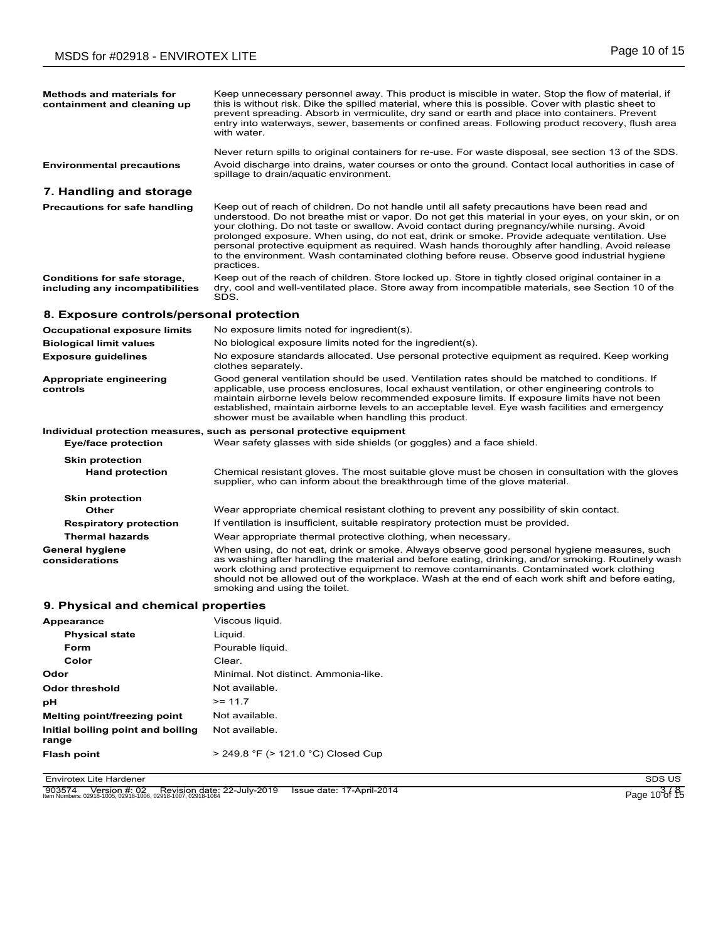| <b>Methods and materials for</b><br>containment and cleaning up | Keep unnecessary personnel away. This product is miscible in water. Stop the flow of material, if<br>this is without risk. Dike the spilled material, where this is possible. Cover with plastic sheet to<br>prevent spreading. Absorb in vermiculite, dry sand or earth and place into containers. Prevent<br>entry into waterways, sewer, basements or confined areas. Following product recovery, flush area<br>with water.                                                                                                                                                                                       |
|-----------------------------------------------------------------|----------------------------------------------------------------------------------------------------------------------------------------------------------------------------------------------------------------------------------------------------------------------------------------------------------------------------------------------------------------------------------------------------------------------------------------------------------------------------------------------------------------------------------------------------------------------------------------------------------------------|
|                                                                 | Never return spills to original containers for re-use. For waste disposal, see section 13 of the SDS.                                                                                                                                                                                                                                                                                                                                                                                                                                                                                                                |
| <b>Environmental precautions</b>                                | Avoid discharge into drains, water courses or onto the ground. Contact local authorities in case of<br>spillage to drain/aquatic environment.                                                                                                                                                                                                                                                                                                                                                                                                                                                                        |
| 7. Handling and storage                                         |                                                                                                                                                                                                                                                                                                                                                                                                                                                                                                                                                                                                                      |
| <b>Precautions for safe handling</b>                            | Keep out of reach of children. Do not handle until all safety precautions have been read and<br>understood. Do not breathe mist or vapor. Do not get this material in your eyes, on your skin, or on<br>your clothing. Do not taste or swallow. Avoid contact during pregnancy/while nursing. Avoid<br>prolonged exposure. When using, do not eat, drink or smoke. Provide adequate ventilation. Use<br>personal protective equipment as required. Wash hands thoroughly after handling. Avoid release<br>to the environment. Wash contaminated clothing before reuse. Observe good industrial hygiene<br>practices. |
| Conditions for safe storage,<br>including any incompatibilities | Keep out of the reach of children. Store locked up. Store in tightly closed original container in a<br>dry, cool and well-ventilated place. Store away from incompatible materials, see Section 10 of the<br>SDS.                                                                                                                                                                                                                                                                                                                                                                                                    |
| 8. Exposure controls/personal protection                        |                                                                                                                                                                                                                                                                                                                                                                                                                                                                                                                                                                                                                      |
| <b>Occupational exposure limits</b>                             | No exposure limits noted for ingredient(s).                                                                                                                                                                                                                                                                                                                                                                                                                                                                                                                                                                          |
| <b>Biological limit values</b>                                  | No biological exposure limits noted for the ingredient(s).                                                                                                                                                                                                                                                                                                                                                                                                                                                                                                                                                           |
| <b>Exposure guidelines</b>                                      | No exposure standards allocated. Use personal protective equipment as required. Keep working<br>clothes separately.                                                                                                                                                                                                                                                                                                                                                                                                                                                                                                  |
| Appropriate engineering<br>controls                             | Good general ventilation should be used. Ventilation rates should be matched to conditions. If<br>applicable, use process enclosures, local exhaust ventilation, or other engineering controls to<br>maintain airborne levels below recommended exposure limits. If exposure limits have not been<br>established, maintain airborne levels to an acceptable level. Eye wash facilities and emergency<br>shower must be available when handling this product.                                                                                                                                                         |
|                                                                 | Individual protection measures, such as personal protective equipment                                                                                                                                                                                                                                                                                                                                                                                                                                                                                                                                                |
| <b>Eye/face protection</b>                                      | Wear safety glasses with side shields (or goggles) and a face shield.                                                                                                                                                                                                                                                                                                                                                                                                                                                                                                                                                |
| <b>Skin protection</b>                                          |                                                                                                                                                                                                                                                                                                                                                                                                                                                                                                                                                                                                                      |
| <b>Hand protection</b>                                          | Chemical resistant gloves. The most suitable glove must be chosen in consultation with the gloves<br>supplier, who can inform about the breakthrough time of the glove material.                                                                                                                                                                                                                                                                                                                                                                                                                                     |
| <b>Skin protection</b>                                          |                                                                                                                                                                                                                                                                                                                                                                                                                                                                                                                                                                                                                      |
| Other                                                           | Wear appropriate chemical resistant clothing to prevent any possibility of skin contact.                                                                                                                                                                                                                                                                                                                                                                                                                                                                                                                             |
| <b>Respiratory protection</b><br><b>Thermal hazards</b>         | If ventilation is insufficient, suitable respiratory protection must be provided.<br>Wear appropriate thermal protective clothing, when necessary.                                                                                                                                                                                                                                                                                                                                                                                                                                                                   |
| <b>General hygiene</b><br>considerations                        | When using, do not eat, drink or smoke. Always observe good personal hygiene measures, such<br>as washing after handling the material and before eating, drinking, and/or smoking. Routinely wash<br>work clothing and protective equipment to remove contaminants. Contaminated work clothing<br>should not be allowed out of the workplace. Wash at the end of each work shift and before eating,<br>smoking and using the toilet.                                                                                                                                                                                 |
| 9. Physical and chemical properties                             |                                                                                                                                                                                                                                                                                                                                                                                                                                                                                                                                                                                                                      |
| Appearance                                                      | Viscous liquid.                                                                                                                                                                                                                                                                                                                                                                                                                                                                                                                                                                                                      |
| <b>Physical state</b>                                           | Liquid.                                                                                                                                                                                                                                                                                                                                                                                                                                                                                                                                                                                                              |
| Form                                                            | Pourable liquid.                                                                                                                                                                                                                                                                                                                                                                                                                                                                                                                                                                                                     |
| Color                                                           | Clear.                                                                                                                                                                                                                                                                                                                                                                                                                                                                                                                                                                                                               |
| Odor                                                            | Minimal. Not distinct. Ammonia-like.                                                                                                                                                                                                                                                                                                                                                                                                                                                                                                                                                                                 |
|                                                                 |                                                                                                                                                                                                                                                                                                                                                                                                                                                                                                                                                                                                                      |
| <b>Odor threshold</b>                                           | Not available.                                                                                                                                                                                                                                                                                                                                                                                                                                                                                                                                                                                                       |
| рH                                                              | $>= 11.7$                                                                                                                                                                                                                                                                                                                                                                                                                                                                                                                                                                                                            |
| Melting point/freezing point                                    | Not available.                                                                                                                                                                                                                                                                                                                                                                                                                                                                                                                                                                                                       |
| Initial boiling point and boiling<br>range                      | Not available.                                                                                                                                                                                                                                                                                                                                                                                                                                                                                                                                                                                                       |

Envirotex Lite Hardener SDS US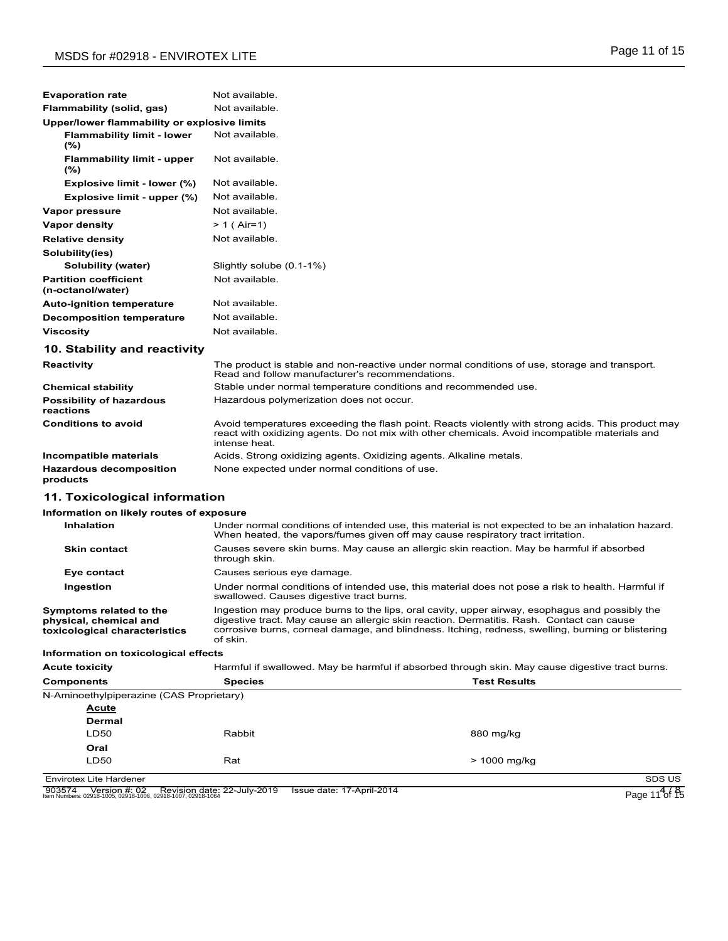| <b>Evaporation rate</b>                           | Not available.                                                                                                                                                                                                        |
|---------------------------------------------------|-----------------------------------------------------------------------------------------------------------------------------------------------------------------------------------------------------------------------|
| Flammability (solid, gas)                         | Not available.                                                                                                                                                                                                        |
| Upper/lower flammability or explosive limits      |                                                                                                                                                                                                                       |
| <b>Flammability limit - lower</b><br>(%)          | Not available.                                                                                                                                                                                                        |
| <b>Flammability limit - upper</b><br>$(\% )$      | Not available.                                                                                                                                                                                                        |
| Explosive limit - lower (%)                       | Not available.                                                                                                                                                                                                        |
| Explosive limit - upper (%)                       | Not available.                                                                                                                                                                                                        |
| Vapor pressure                                    | Not available.                                                                                                                                                                                                        |
| <b>Vapor density</b>                              | $> 1$ (Air=1)                                                                                                                                                                                                         |
| <b>Relative density</b>                           | Not available.                                                                                                                                                                                                        |
| Solubility(ies)                                   |                                                                                                                                                                                                                       |
| Solubility (water)                                | Slightly solube (0.1-1%)                                                                                                                                                                                              |
| <b>Partition coefficient</b><br>(n-octanol/water) | Not available.                                                                                                                                                                                                        |
| <b>Auto-ignition temperature</b>                  | Not available.                                                                                                                                                                                                        |
| <b>Decomposition temperature</b>                  | Not available.                                                                                                                                                                                                        |
| <b>Viscosity</b>                                  | Not available.                                                                                                                                                                                                        |
| 10. Stability and reactivity                      |                                                                                                                                                                                                                       |
| Reactivity                                        | The product is stable and non-reactive under normal conditions of use, storage and transport.<br>Read and follow manufacturer's recommendations.                                                                      |
| <b>Chemical stability</b>                         | Stable under normal temperature conditions and recommended use.                                                                                                                                                       |
| <b>Possibility of hazardous</b><br>reactions      | Hazardous polymerization does not occur.                                                                                                                                                                              |
| <b>Conditions to avoid</b>                        | Avoid temperatures exceeding the flash point. Reacts violently with strong acids. This product may<br>react with oxidizing agents. Do not mix with other chemicals. Avoid incompatible materials and<br>intense heat. |
| Incompatible materials                            | Acids. Strong oxidizing agents. Oxidizing agents. Alkaline metals.                                                                                                                                                    |
| <b>Hazardous decomposition</b><br>products        | None expected under normal conditions of use.                                                                                                                                                                         |
| 11. Toxicological information                     |                                                                                                                                                                                                                       |
| Information on likely routes of exposure          |                                                                                                                                                                                                                       |
| <b>Inhalation</b>                                 | Under normal conditions of intended use, this material is not expected to be an inhalation hazard.<br>When heated, the vapors/fumes given off may cause respiratory tract irritation.                                 |
|                                                   |                                                                                                                                                                                                                       |

| <b>Skin contact</b>     | Causes severe skin burns. May cause an allergic skin reaction. May be harmful if absorbed<br>through skin.                                                                                                                                                                                                                                                                                                    |
|-------------------------|---------------------------------------------------------------------------------------------------------------------------------------------------------------------------------------------------------------------------------------------------------------------------------------------------------------------------------------------------------------------------------------------------------------|
| Eye contact             | Causes serious eye damage.                                                                                                                                                                                                                                                                                                                                                                                    |
| Ingestion               | Under normal conditions of intended use, this material does not pose a risk to health. Harmful if<br>swallowed. Causes digestive tract burns.                                                                                                                                                                                                                                                                 |
| Symptoms related to the | Ingestion may produce burns to the lips, oral cavity, upper airway, esophagus and possibly the<br>$\mathbf{r}$ , $\mathbf{r}$ , $\mathbf{r}$ , $\mathbf{r}$ , $\mathbf{r}$ , $\mathbf{r}$ , $\mathbf{r}$ , $\mathbf{r}$ , $\mathbf{r}$ , $\mathbf{r}$ , $\mathbf{r}$ , $\mathbf{r}$ , $\mathbf{r}$ , $\mathbf{r}$ , $\mathbf{r}$ , $\mathbf{r}$ , $\mathbf{r}$ , $\mathbf{r}$ , $\mathbf{r}$ , $\mathbf{r}$ , |

**physical, chemical and toxicological characteristics** digestive tract. May cause an allergic skin reaction. Dermatitis. Rash. Contact can cause corrosive burns, corneal damage, and blindness. Itching, redness, swelling, burning or blistering of skin.

### **Information on toxicological effects**

| <b>Acute toxicity</b>                    | Harmful if swallowed. May be harmful if absorbed through skin. May cause digestive tract burns. |                     |  |
|------------------------------------------|-------------------------------------------------------------------------------------------------|---------------------|--|
| <b>Components</b>                        | <b>Species</b>                                                                                  | <b>Test Results</b> |  |
| N-Aminoethylpiperazine (CAS Proprietary) |                                                                                                 |                     |  |
| <b>Acute</b>                             |                                                                                                 |                     |  |
| <b>Dermal</b>                            |                                                                                                 |                     |  |
| <b>LD50</b>                              | Rabbit                                                                                          | 880 mg/kg           |  |
| Oral                                     |                                                                                                 |                     |  |
| <b>LD50</b>                              | Rat                                                                                             | $> 1000$ mg/kg      |  |
| Envirotex Lite Hardener                  |                                                                                                 | SDS US              |  |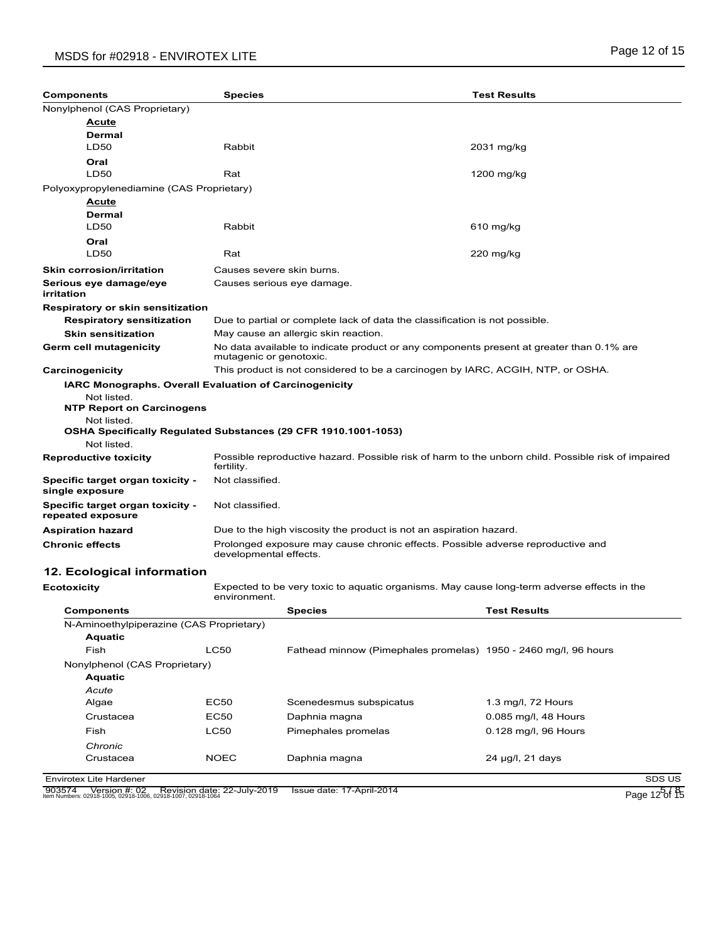# MSDS for #02918 - ENVIROTEX LITE **All and the set of the set of the set of the set of the set of the set of 15**

| <b>Components</b>                                            | <b>Species</b>                                                                                                      | <b>Test Results</b>                                                                                |  |
|--------------------------------------------------------------|---------------------------------------------------------------------------------------------------------------------|----------------------------------------------------------------------------------------------------|--|
| Nonylphenol (CAS Proprietary)                                |                                                                                                                     |                                                                                                    |  |
| Acute                                                        |                                                                                                                     |                                                                                                    |  |
| <b>Dermal</b>                                                |                                                                                                                     |                                                                                                    |  |
| <b>LD50</b>                                                  | Rabbit                                                                                                              | 2031 mg/kg                                                                                         |  |
| Oral                                                         |                                                                                                                     |                                                                                                    |  |
| <b>LD50</b>                                                  | Rat                                                                                                                 | 1200 mg/kg                                                                                         |  |
| Polyoxypropylenediamine (CAS Proprietary)                    |                                                                                                                     |                                                                                                    |  |
| Acute                                                        |                                                                                                                     |                                                                                                    |  |
| Dermal                                                       |                                                                                                                     |                                                                                                    |  |
| <b>LD50</b>                                                  | Rabbit                                                                                                              | 610 mg/kg                                                                                          |  |
| Oral                                                         |                                                                                                                     |                                                                                                    |  |
| <b>LD50</b>                                                  | Rat                                                                                                                 | $220$ mg/kg                                                                                        |  |
| <b>Skin corrosion/irritation</b>                             | Causes severe skin burns.                                                                                           |                                                                                                    |  |
| Serious eye damage/eye<br>irritation                         | Causes serious eye damage.                                                                                          |                                                                                                    |  |
| <b>Respiratory or skin sensitization</b>                     |                                                                                                                     |                                                                                                    |  |
| <b>Respiratory sensitization</b>                             | Due to partial or complete lack of data the classification is not possible.                                         |                                                                                                    |  |
| <b>Skin sensitization</b>                                    | May cause an allergic skin reaction.                                                                                |                                                                                                    |  |
| Germ cell mutagenicity                                       | No data available to indicate product or any components present at greater than 0.1% are<br>mutagenic or genotoxic. |                                                                                                    |  |
| Carcinogenicity                                              | This product is not considered to be a carcinogen by IARC, ACGIH, NTP, or OSHA.                                     |                                                                                                    |  |
|                                                              | <b>IARC Monographs. Overall Evaluation of Carcinogenicity</b>                                                       |                                                                                                    |  |
| Not listed.<br><b>NTP Report on Carcinogens</b>              |                                                                                                                     |                                                                                                    |  |
| Not listed.                                                  | OSHA Specifically Regulated Substances (29 CFR 1910.1001-1053)                                                      |                                                                                                    |  |
| Not listed.                                                  |                                                                                                                     |                                                                                                    |  |
| <b>Reproductive toxicity</b>                                 | fertility.                                                                                                          | Possible reproductive hazard. Possible risk of harm to the unborn child. Possible risk of impaired |  |
| Specific target organ toxicity -<br>single exposure          | Not classified.                                                                                                     |                                                                                                    |  |
| <b>Specific target organ toxicity -</b><br>repeated exposure | Not classified.                                                                                                     |                                                                                                    |  |
| <b>Aspiration hazard</b>                                     | Due to the high viscosity the product is not an aspiration hazard.                                                  |                                                                                                    |  |
| <b>Chronic effects</b>                                       | developmental effects.                                                                                              | Prolonged exposure may cause chronic effects. Possible adverse reproductive and                    |  |
| 12. Ecological information                                   |                                                                                                                     |                                                                                                    |  |
| <b>Ecotoxicity</b>                                           | environment.                                                                                                        | Expected to be very toxic to aquatic organisms. May cause long-term adverse effects in the         |  |
| Componente                                                   | Species                                                                                                             | <b>Toet Poeulte</b>                                                                                |  |

| <b>Components</b>                        |             | <b>Species</b>                                                  | <b>Test Results</b>  |        |
|------------------------------------------|-------------|-----------------------------------------------------------------|----------------------|--------|
| N-Aminoethylpiperazine (CAS Proprietary) |             |                                                                 |                      |        |
| <b>Aquatic</b>                           |             |                                                                 |                      |        |
| Fish                                     | <b>LC50</b> | Fathead minnow (Pimephales promelas) 1950 - 2460 mg/l, 96 hours |                      |        |
| Nonylphenol (CAS Proprietary)            |             |                                                                 |                      |        |
| <b>Aquatic</b>                           |             |                                                                 |                      |        |
| Acute                                    |             |                                                                 |                      |        |
| Algae                                    | <b>EC50</b> | Scenedesmus subspicatus                                         | 1.3 mg/l, 72 Hours   |        |
| Crustacea                                | <b>EC50</b> | Daphnia magna                                                   | 0.085 mg/l, 48 Hours |        |
| Fish                                     | <b>LC50</b> | Pimephales promelas                                             | 0.128 mg/l, 96 Hours |        |
| Chronic                                  |             |                                                                 |                      |        |
| Crustacea                                | <b>NOEC</b> | Daphnia magna                                                   | 24 µg/l, 21 days     |        |
| <b>Envirotex Lite Hardener</b>           |             |                                                                 |                      | SDS US |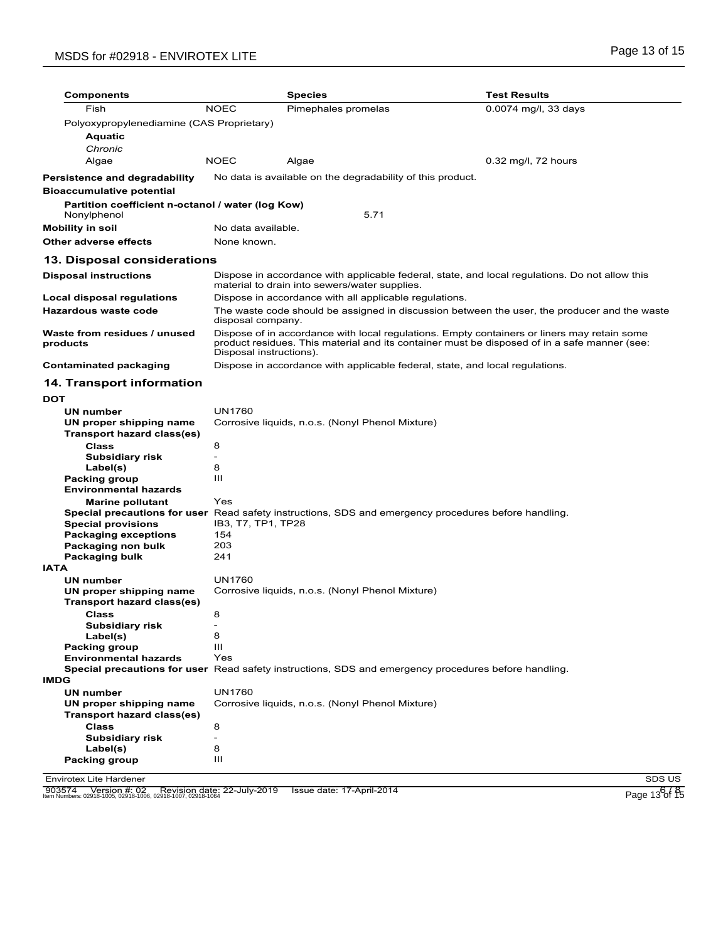# MSDS for #02918 - ENVIROTEX LITE **All and the set of the set of the set of the set of the set of the set of the set of the set of the set of the set of the set of the set of the set of the set of the set of the set of the**

| <b>Components</b>                                          |                               | <b>Species</b>                                                                                                                                                                                                         | <b>Test Results</b>                                                                                         |  |
|------------------------------------------------------------|-------------------------------|------------------------------------------------------------------------------------------------------------------------------------------------------------------------------------------------------------------------|-------------------------------------------------------------------------------------------------------------|--|
| Fish                                                       | <b>NOEC</b>                   | Pimephales promelas                                                                                                                                                                                                    | 0.0074 mg/l, 33 days                                                                                        |  |
| Polyoxypropylenediamine (CAS Proprietary)                  |                               |                                                                                                                                                                                                                        |                                                                                                             |  |
| Aquatic                                                    |                               |                                                                                                                                                                                                                        |                                                                                                             |  |
| Chronic                                                    |                               |                                                                                                                                                                                                                        |                                                                                                             |  |
| Algae                                                      | <b>NOEC</b>                   | Algae                                                                                                                                                                                                                  | $0.32$ mg/l, 72 hours                                                                                       |  |
| Persistence and degradability<br>Bioaccumulative potential |                               | No data is available on the degradability of this product.                                                                                                                                                             |                                                                                                             |  |
| Partition coefficient n-octanol / water (log Kow)          |                               |                                                                                                                                                                                                                        |                                                                                                             |  |
| Nonylphenol                                                |                               | 5.71                                                                                                                                                                                                                   |                                                                                                             |  |
| Mobility in soil                                           | No data available.            |                                                                                                                                                                                                                        |                                                                                                             |  |
| Other adverse effects                                      | None known.                   |                                                                                                                                                                                                                        |                                                                                                             |  |
| 13. Disposal considerations                                |                               |                                                                                                                                                                                                                        |                                                                                                             |  |
| <b>Disposal instructions</b>                               |                               | material to drain into sewers/water supplies.                                                                                                                                                                          | Dispose in accordance with applicable federal, state, and local regulations. Do not allow this              |  |
| Local disposal regulations                                 |                               | Dispose in accordance with all applicable regulations.                                                                                                                                                                 |                                                                                                             |  |
| Hazardous waste code                                       | disposal company.             |                                                                                                                                                                                                                        | The waste code should be assigned in discussion between the user, the producer and the waste                |  |
| Waste from residues / unused<br>products                   |                               | Dispose of in accordance with local regulations. Empty containers or liners may retain some<br>product residues. This material and its container must be disposed of in a safe manner (see:<br>Disposal instructions). |                                                                                                             |  |
| <b>Contaminated packaging</b>                              |                               |                                                                                                                                                                                                                        | Dispose in accordance with applicable federal, state, and local regulations.                                |  |
| <b>14. Transport information</b>                           |                               |                                                                                                                                                                                                                        |                                                                                                             |  |
| DOT                                                        |                               |                                                                                                                                                                                                                        |                                                                                                             |  |
| UN number                                                  | <b>UN1760</b>                 |                                                                                                                                                                                                                        |                                                                                                             |  |
| UN proper shipping name                                    |                               | Corrosive liquids, n.o.s. (Nonyl Phenol Mixture)                                                                                                                                                                       |                                                                                                             |  |
| Transport hazard class(es)                                 |                               |                                                                                                                                                                                                                        |                                                                                                             |  |
| <b>Class</b>                                               | 8                             |                                                                                                                                                                                                                        |                                                                                                             |  |
| Subsidiary risk                                            | $\overline{\phantom{a}}$      |                                                                                                                                                                                                                        |                                                                                                             |  |
| Label(s)                                                   | 8<br>$\mathbf{H}$             |                                                                                                                                                                                                                        |                                                                                                             |  |
| <b>Packing group</b><br><b>Environmental hazards</b>       |                               |                                                                                                                                                                                                                        |                                                                                                             |  |
| <b>Marine pollutant</b>                                    | Yes                           |                                                                                                                                                                                                                        |                                                                                                             |  |
|                                                            |                               |                                                                                                                                                                                                                        | <b>Special precautions for user</b> Read safety instructions, SDS and emergency procedures before handling. |  |
| <b>Special provisions</b>                                  | IB3, T7, TP1, TP28            |                                                                                                                                                                                                                        |                                                                                                             |  |
| <b>Packaging exceptions</b>                                | 154                           |                                                                                                                                                                                                                        |                                                                                                             |  |
| Packaging non bulk                                         | 203<br>241                    |                                                                                                                                                                                                                        |                                                                                                             |  |
| <b>Packaging bulk</b><br>IATA                              |                               |                                                                                                                                                                                                                        |                                                                                                             |  |
| UN number                                                  | <b>UN1760</b>                 |                                                                                                                                                                                                                        |                                                                                                             |  |
| UN proper shipping name                                    |                               | Corrosive liquids, n.o.s. (Nonyl Phenol Mixture)                                                                                                                                                                       |                                                                                                             |  |
| Transport hazard class(es)                                 |                               |                                                                                                                                                                                                                        |                                                                                                             |  |
| <b>Class</b>                                               |                               |                                                                                                                                                                                                                        |                                                                                                             |  |
| <b>Subsidiary risk</b>                                     | $\overline{\phantom{a}}$      |                                                                                                                                                                                                                        |                                                                                                             |  |
| Label(s)                                                   | 8<br>Ш                        |                                                                                                                                                                                                                        |                                                                                                             |  |
| <b>Packing group</b><br><b>Environmental hazards</b>       | Yes                           |                                                                                                                                                                                                                        |                                                                                                             |  |
|                                                            |                               |                                                                                                                                                                                                                        | Special precautions for user Read safety instructions, SDS and emergency procedures before handling.        |  |
| <b>IMDG</b>                                                |                               |                                                                                                                                                                                                                        |                                                                                                             |  |
| <b>UN number</b>                                           | <b>UN1760</b>                 |                                                                                                                                                                                                                        |                                                                                                             |  |
| UN proper shipping name                                    |                               | Corrosive liquids, n.o.s. (Nonyl Phenol Mixture)                                                                                                                                                                       |                                                                                                             |  |
| <b>Transport hazard class(es)</b>                          |                               |                                                                                                                                                                                                                        |                                                                                                             |  |
| <b>Class</b>                                               | 8<br>$\overline{\phantom{a}}$ |                                                                                                                                                                                                                        |                                                                                                             |  |
| <b>Subsidiary risk</b><br>Label(s)                         | 8                             |                                                                                                                                                                                                                        |                                                                                                             |  |
| <b>Packing group</b>                                       | Ш                             |                                                                                                                                                                                                                        |                                                                                                             |  |

Envirotex Lite Hardener SDS US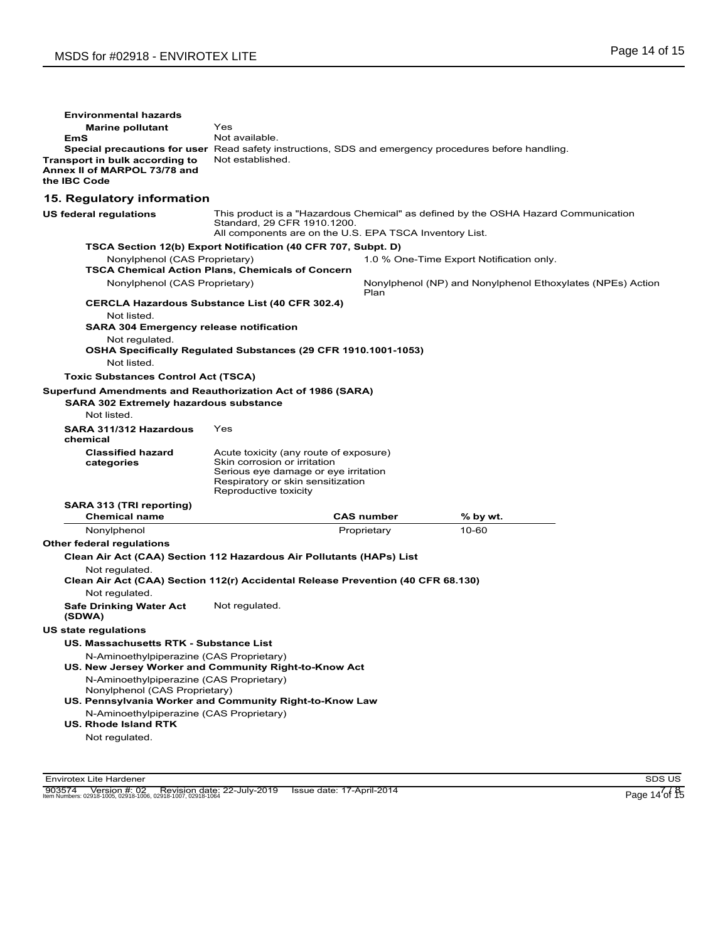| <b>Environmental hazards</b><br><b>Marine pollutant</b><br>EmS<br>Transport in bulk according to<br>Annex II of MARPOL 73/78 and<br>the IBC Code | Yes<br>Not available.<br>Special precautions for user Read safety instructions, SDS and emergency procedures before handling.<br>Not established.                            |                   |                                                                                    |
|--------------------------------------------------------------------------------------------------------------------------------------------------|------------------------------------------------------------------------------------------------------------------------------------------------------------------------------|-------------------|------------------------------------------------------------------------------------|
| 15. Regulatory information                                                                                                                       |                                                                                                                                                                              |                   |                                                                                    |
| <b>US federal regulations</b>                                                                                                                    | Standard, 29 CFR 1910.1200.<br>All components are on the U.S. EPA TSCA Inventory List.                                                                                       |                   | This product is a "Hazardous Chemical" as defined by the OSHA Hazard Communication |
|                                                                                                                                                  | TSCA Section 12(b) Export Notification (40 CFR 707, Subpt. D)                                                                                                                |                   |                                                                                    |
| Nonylphenol (CAS Proprietary)                                                                                                                    | <b>TSCA Chemical Action Plans, Chemicals of Concern</b>                                                                                                                      |                   | 1.0 % One-Time Export Notification only.                                           |
| Nonylphenol (CAS Proprietary)                                                                                                                    |                                                                                                                                                                              |                   | Nonylphenol (NP) and Nonylphenol Ethoxylates (NPEs) Action                         |
| Not listed.<br><b>SARA 304 Emergency release notification</b><br>Not regulated.<br>Not listed.<br><b>Toxic Substances Control Act (TSCA)</b>     | <b>CERCLA Hazardous Substance List (40 CFR 302.4)</b><br>OSHA Specifically Regulated Substances (29 CFR 1910.1001-1053)                                                      | Plan              |                                                                                    |
| Superfund Amendments and Reauthorization Act of 1986 (SARA)                                                                                      |                                                                                                                                                                              |                   |                                                                                    |
| <b>SARA 302 Extremely hazardous substance</b><br>Not listed.                                                                                     |                                                                                                                                                                              |                   |                                                                                    |
| SARA 311/312 Hazardous<br>chemical                                                                                                               | Yes                                                                                                                                                                          |                   |                                                                                    |
| <b>Classified hazard</b><br>categories                                                                                                           | Acute toxicity (any route of exposure)<br>Skin corrosion or irritation<br>Serious eye damage or eye irritation<br>Respiratory or skin sensitization<br>Reproductive toxicity |                   |                                                                                    |
| SARA 313 (TRI reporting)<br><b>Chemical name</b>                                                                                                 |                                                                                                                                                                              | <b>CAS number</b> |                                                                                    |
| Nonylphenol                                                                                                                                      |                                                                                                                                                                              | Proprietary       | % by wt.<br>10-60                                                                  |
| <b>Other federal regulations</b>                                                                                                                 |                                                                                                                                                                              |                   |                                                                                    |
| Not regulated.<br>Not regulated.<br><b>Safe Drinking Water Act</b>                                                                               | Clean Air Act (CAA) Section 112 Hazardous Air Pollutants (HAPs) List<br>Clean Air Act (CAA) Section 112(r) Accidental Release Prevention (40 CFR 68.130)<br>Not regulated.   |                   |                                                                                    |
| (SDWA)                                                                                                                                           |                                                                                                                                                                              |                   |                                                                                    |
| US state regulations                                                                                                                             |                                                                                                                                                                              |                   |                                                                                    |
| US. Massachusetts RTK - Substance List<br>N-Aminoethylpiperazine (CAS Proprietary)                                                               |                                                                                                                                                                              |                   |                                                                                    |
|                                                                                                                                                  | US. New Jersey Worker and Community Right-to-Know Act                                                                                                                        |                   |                                                                                    |
| N-Aminoethylpiperazine (CAS Proprietary)<br>Nonylphenol (CAS Proprietary)                                                                        | US. Pennsylvania Worker and Community Right-to-Know Law                                                                                                                      |                   |                                                                                    |
| N-Aminoethylpiperazine (CAS Proprietary)<br><b>US. Rhode Island RTK</b><br>Not regulated.                                                        |                                                                                                                                                                              |                   |                                                                                    |